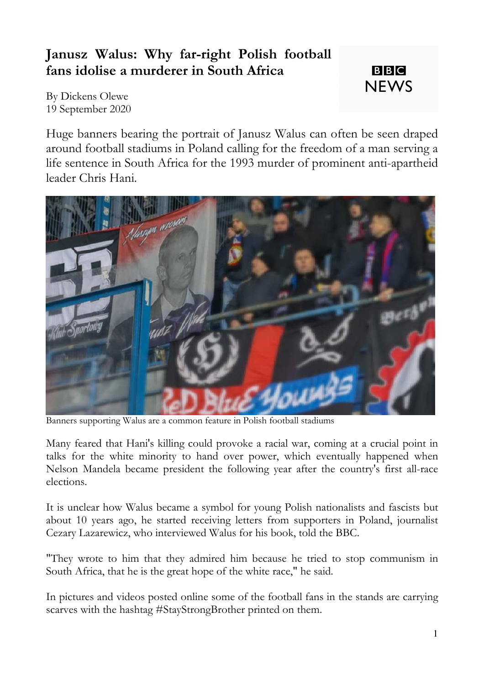## **Janusz Walus: Why far-right Polish football fans idolise a murderer in South Africa**



By Dickens Olewe 19 September 2020

Huge banners bearing the portrait of Janusz Walus can often be seen draped around football stadiums in Poland calling for the freedom of a man serving a life sentence in South Africa for the 1993 murder of prominent anti-apartheid leader Chris Hani.



Banners supporting Walus are a common feature in Polish football stadiums

Many feared that Hani's killing could provoke a racial war, coming at a crucial point in talks for the white minority to hand over power, which eventually happened when Nelson Mandela became president the following year after the country's first all-race elections.

It is unclear how Walus became a symbol for young Polish nationalists and fascists but about 10 years ago, he started receiving letters from supporters in Poland, journalist Cezary Lazarewicz, who interviewed Walus for his book, told the BBC.

"They wrote to him that they admired him because he tried to stop communism in South Africa, that he is the great hope of the white race," he said.

In pictures and videos posted online some of the football fans in the stands are carrying scarves with the hashtag #StayStrongBrother printed on them.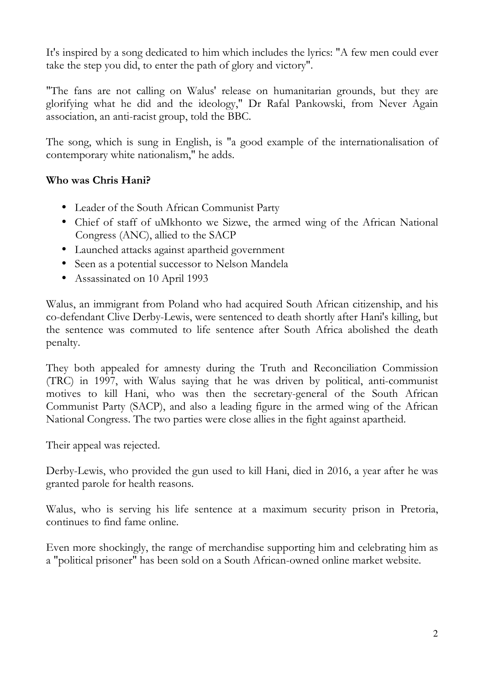It's inspired by a song dedicated to him which includes the lyrics: "A few men could ever take the step you did, to enter the path of glory and victory".

"The fans are not calling on Walus' release on humanitarian grounds, but they are glorifying what he did and the ideology," Dr Rafal Pankowski, from Never Again association, an anti-racist group, told the BBC.

The song, which is sung in English, is "a good example of the internationalisation of contemporary white nationalism," he adds.

## **Who was Chris Hani?**

- Leader of the South African Communist Party
- Chief of staff of uMkhonto we Sizwe, the armed wing of the African National Congress (ANC), allied to the SACP
- Launched attacks against apartheid government
- Seen as a potential successor to Nelson Mandela
- Assassinated on 10 April 1993

Walus, an immigrant from Poland who had acquired South African citizenship, and his co-defendant Clive Derby-Lewis, were sentenced to death shortly after Hani's killing, but the sentence was commuted to life sentence after South Africa abolished the death penalty.

They both appealed for amnesty during the Truth and Reconciliation Commission (TRC) in 1997, with Walus saying that he was driven by political, anti-communist motives to kill Hani, who was then the secretary-general of the South African Communist Party (SACP), and also a leading figure in the armed wing of the African National Congress. The two parties were close allies in the fight against apartheid.

Their appeal was rejected.

Derby-Lewis, who provided the gun used to kill Hani, died in 2016, a year after he was granted parole for health reasons.

Walus, who is serving his life sentence at a maximum security prison in Pretoria, continues to find fame online.

Even more shockingly, the range of merchandise supporting him and celebrating him as a "political prisoner" has been sold on a South African-owned online market website.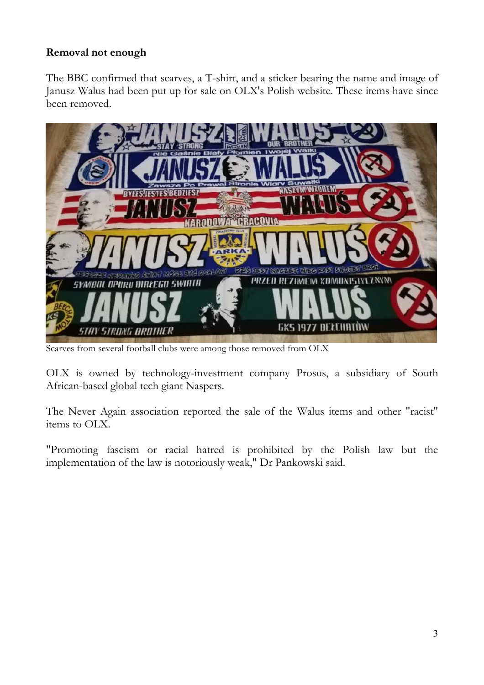## **Removal not enough**

The BBC confirmed that scarves, a T-shirt, and a sticker bearing the name and image of Janusz Walus had been put up for sale on OLX's Polish website. These items have since been removed.



Scarves from several football clubs were among those removed from OLX

OLX is owned by technology-investment company Prosus, a subsidiary of South African-based global tech giant Naspers.

The Never Again association reported the sale of the Walus items and other "racist" items to OLX.

"Promoting fascism or racial hatred is prohibited by the Polish law but the implementation of the law is notoriously weak," Dr Pankowski said.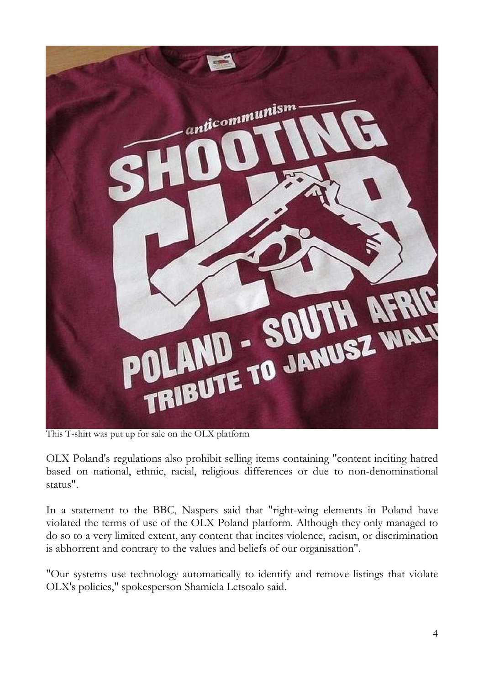

This T-shirt was put up for sale on the OLX platform

OLX Poland's regulations also prohibit selling items containing "content inciting hatred based on national, ethnic, racial, religious differences or due to non-denominational status".

In a statement to the BBC, Naspers said that "right-wing elements in Poland have violated the terms of use of the OLX Poland platform. Although they only managed to do so to a very limited extent, any content that incites violence, racism, or discrimination is abhorrent and contrary to the values and beliefs of our organisation".

"Our systems use technology automatically to identify and remove listings that violate OLX's policies," spokesperson Shamiela Letsoalo said.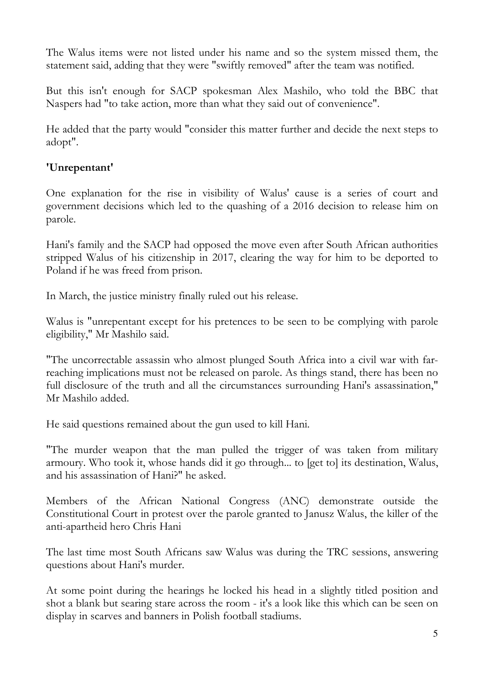The Walus items were not listed under his name and so the system missed them, the statement said, adding that they were "swiftly removed" after the team was notified.

But this isn't enough for SACP spokesman Alex Mashilo, who told the BBC that Naspers had "to take action, more than what they said out of convenience".

He added that the party would "consider this matter further and decide the next steps to adopt".

## **'Unrepentant'**

One explanation for the rise in visibility of Walus' cause is a series of court and government decisions which led to the quashing of a 2016 decision to release him on parole.

Hani's family and the SACP had opposed the move even after South African authorities stripped Walus of his citizenship in 2017, clearing the way for him to be deported to Poland if he was freed from prison.

In March, the justice ministry finally ruled out his release.

Walus is "unrepentant except for his pretences to be seen to be complying with parole eligibility," Mr Mashilo said.

"The uncorrectable assassin who almost plunged South Africa into a civil war with farreaching implications must not be released on parole. As things stand, there has been no full disclosure of the truth and all the circumstances surrounding Hani's assassination," Mr Mashilo added.

He said questions remained about the gun used to kill Hani.

"The murder weapon that the man pulled the trigger of was taken from military armoury. Who took it, whose hands did it go through... to [get to] its destination, Walus, and his assassination of Hani?" he asked.

Members of the African National Congress (ANC) demonstrate outside the Constitutional Court in protest over the parole granted to Janusz Walus, the killer of the anti-apartheid hero Chris Hani

The last time most South Africans saw Walus was during the TRC sessions, answering questions about Hani's murder.

At some point during the hearings he locked his head in a slightly titled position and shot a blank but searing stare across the room - it's a look like this which can be seen on display in scarves and banners in Polish football stadiums.